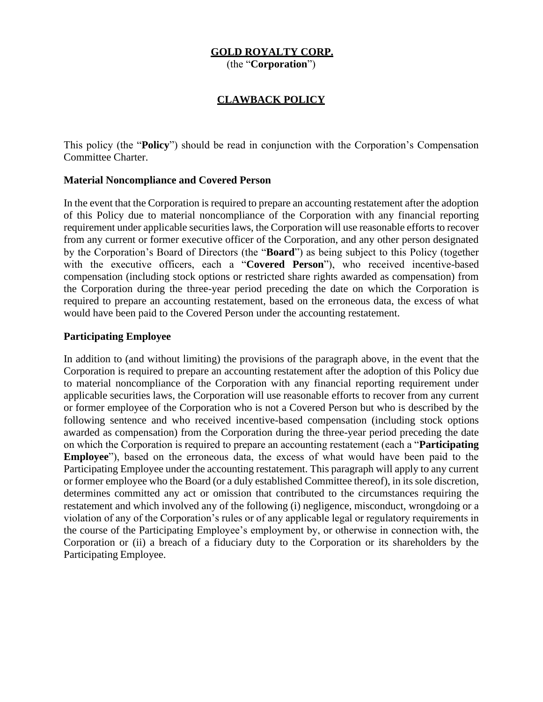# **GOLD ROYALTY CORP.**

(the "**Corporation**")

## **CLAWBACK POLICY**

This policy (the "**Policy**") should be read in conjunction with the Corporation's Compensation Committee Charter.

#### **Material Noncompliance and Covered Person**

In the event that the Corporation is required to prepare an accounting restatement after the adoption of this Policy due to material noncompliance of the Corporation with any financial reporting requirement under applicable securities laws, the Corporation will use reasonable efforts to recover from any current or former executive officer of the Corporation, and any other person designated by the Corporation's Board of Directors (the "**Board**") as being subject to this Policy (together with the executive officers, each a "**Covered Person**"), who received incentive-based compensation (including stock options or restricted share rights awarded as compensation) from the Corporation during the three-year period preceding the date on which the Corporation is required to prepare an accounting restatement, based on the erroneous data, the excess of what would have been paid to the Covered Person under the accounting restatement.

## **Participating Employee**

In addition to (and without limiting) the provisions of the paragraph above, in the event that the Corporation is required to prepare an accounting restatement after the adoption of this Policy due to material noncompliance of the Corporation with any financial reporting requirement under applicable securities laws, the Corporation will use reasonable efforts to recover from any current or former employee of the Corporation who is not a Covered Person but who is described by the following sentence and who received incentive-based compensation (including stock options awarded as compensation) from the Corporation during the three-year period preceding the date on which the Corporation is required to prepare an accounting restatement (each a "**Participating Employee**"), based on the erroneous data, the excess of what would have been paid to the Participating Employee under the accounting restatement. This paragraph will apply to any current or former employee who the Board (or a duly established Committee thereof), in its sole discretion, determines committed any act or omission that contributed to the circumstances requiring the restatement and which involved any of the following (i) negligence, misconduct, wrongdoing or a violation of any of the Corporation's rules or of any applicable legal or regulatory requirements in the course of the Participating Employee's employment by, or otherwise in connection with, the Corporation or (ii) a breach of a fiduciary duty to the Corporation or its shareholders by the Participating Employee.